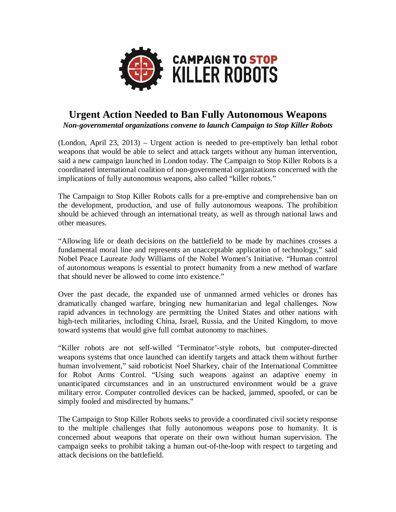

# **Urgent Action Needed to Ban Fully Autonomous Weapons** *Non-governmental organizations convene to launch Campaign to Stop Killer Robots*

(London, April 23, 2013) – Urgent action is needed to pre-emptively ban lethal robot weapons that would be able to select and attack targets without any human intervention, said a new campaign launched in London today. The Campaign to Stop Killer Robots is a coordinated international coalition of non-governmental organizations concerned with the implications of fully autonomous weapons, also called "killer robots."

The Campaign to Stop Killer Robots calls for a pre-emptive and comprehensive ban on the development, production, and use of fully autonomous weapons. The prohibition should be achieved through an international treaty, as well as through national laws and other measures.

"Allowing life or death decisions on the battlefield to be made by machines crosses a fundamental moral line and represents an unacceptable application of technology," said Nobel Peace Laureate Jody Williams of the Nobel Women's Initiative. "Human control of autonomous weapons is essential to protect humanity from a new method of warfare that should never be allowed to come into existence."

Over the past decade, the expanded use of unmanned armed vehicles or drones has dramatically changed warfare, bringing new humanitarian and legal challenges. Now rapid advances in technology are permitting the United States and other nations with high-tech militaries, including China, Israel, Russia, and the United Kingdom, to move toward systems that would give full combat autonomy to machines.

"Killer robots are not self-willed 'Terminator'-style robots, but computer-directed weapons systems that once launched can identify targets and attack them without further human involvement," said roboticist Noel Sharkey, chair of the International Committee for Robot Arms Control. "Using such weapons against an adaptive enemy in unanticipated circumstances and in an unstructured environment would be a grave military error. Computer controlled devices can be hacked, jammed, spoofed, or can be simply fooled and misdirected by humans."

The Campaign to Stop Killer Robots seeks to provide a coordinated civil society response to the multiple challenges that fully autonomous weapons pose to humanity. It is concerned about weapons that operate on their own without human supervision. The campaign seeks to prohibit taking a human out-of-the-loop with respect to targeting and attack decisions on the battlefield.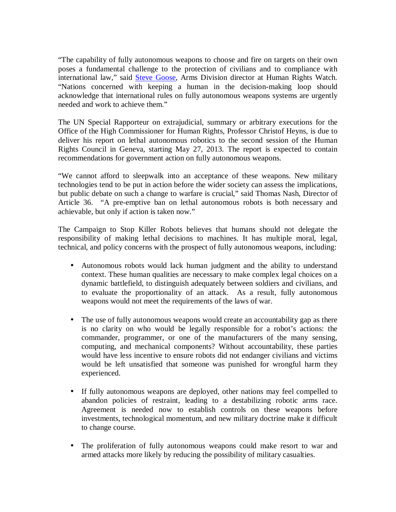"The capability of fully autonomous weapons to choose and fire on targets on their own poses a fundamental challenge to the protection of civilians and to compliance with international law," said Steve Goose, Arms Division director at Human Rights Watch. "Nations concerned with keeping a human in the decision-making loop should acknowledge that international rules on fully autonomous weapons systems are urgently needed and work to achieve them."

The UN Special Rapporteur on extrajudicial, summary or arbitrary executions for the Office of the High Commissioner for Human Rights, Professor Christof Heyns, is due to deliver his report on lethal autonomous robotics to the second session of the Human Rights Council in Geneva, starting May 27, 2013. The report is expected to contain recommendations for government action on fully autonomous weapons.

"We cannot afford to sleepwalk into an acceptance of these weapons. New military technologies tend to be put in action before the wider society can assess the implications, but public debate on such a change to warfare is crucial," said Thomas Nash, Director of Article 36. "A pre-emptive ban on lethal autonomous robots is both necessary and achievable, but only if action is taken now."

The Campaign to Stop Killer Robots believes that humans should not delegate the responsibility of making lethal decisions to machines. It has multiple moral, legal, technical, and policy concerns with the prospect of fully autonomous weapons, including:

- Autonomous robots would lack human judgment and the ability to understand context. These human qualities are necessary to make complex legal choices on a dynamic battlefield, to distinguish adequately between soldiers and civilians, and to evaluate the proportionality of an attack. As a result, fully autonomous weapons would not meet the requirements of the laws of war.
- The use of fully autonomous weapons would create an accountability gap as there is no clarity on who would be legally responsible for a robot's actions: the commander, programmer, or one of the manufacturers of the many sensing, computing, and mechanical components? Without accountability, these parties would have less incentive to ensure robots did not endanger civilians and victims would be left unsatisfied that someone was punished for wrongful harm they experienced.
- If fully autonomous weapons are deployed, other nations may feel compelled to abandon policies of restraint, leading to a destabilizing robotic arms race. Agreement is needed now to establish controls on these weapons before investments, technological momentum, and new military doctrine make it difficult to change course.
- The proliferation of fully autonomous weapons could make resort to war and armed attacks more likely by reducing the possibility of military casualties.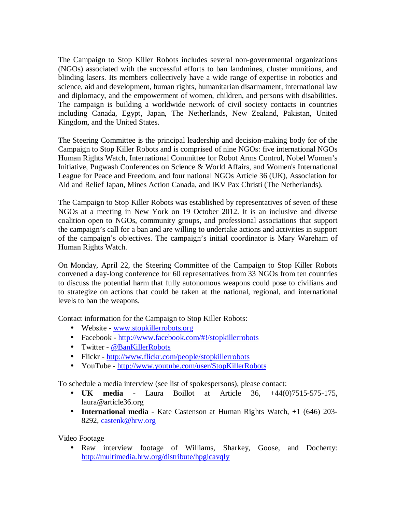The Campaign to Stop Killer Robots includes several non-governmental organizations (NGOs) associated with the successful efforts to ban landmines, cluster munitions, and blinding lasers. Its members collectively have a wide range of expertise in robotics and science, aid and development, human rights, humanitarian disarmament, international law and diplomacy, and the empowerment of women, children, and persons with disabilities. The campaign is building a worldwide network of civil society contacts in countries including Canada, Egypt, Japan, The Netherlands, New Zealand, Pakistan, United Kingdom, and the United States.

The Steering Committee is the principal leadership and decision-making body for of the Campaign to Stop Killer Robots and is comprised of nine NGOs: five international NGOs Human Rights Watch, International Committee for Robot Arms Control, Nobel Women's Initiative, Pugwash Conferences on Science & World Affairs, and Women's International League for Peace and Freedom, and four national NGOs Article 36 (UK), Association for Aid and Relief Japan, Mines Action Canada, and IKV Pax Christi (The Netherlands).

The Campaign to Stop Killer Robots was established by representatives of seven of these NGOs at a meeting in New York on 19 October 2012. It is an inclusive and diverse coalition open to NGOs, community groups, and professional associations that support the campaign's call for a ban and are willing to undertake actions and activities in support of the campaign's objectives. The campaign's initial coordinator is Mary Wareham of Human Rights Watch.

On Monday, April 22, the Steering Committee of the Campaign to Stop Killer Robots convened a day-long conference for 60 representatives from 33 NGOs from ten countries to discuss the potential harm that fully autonomous weapons could pose to civilians and to strategize on actions that could be taken at the national, regional, and international levels to ban the weapons.

Contact information for the Campaign to Stop Killer Robots:

- Website www.stopkillerrobots.org
- Facebook http://www.facebook.com/#!/stopkillerrobots
- Twitter @BanKillerRobots
- Flickr http://www.flickr.com/people/stopkillerrobots
- YouTube http://www.youtube.com/user/StopKillerRobots

To schedule a media interview (see list of spokespersons), please contact:

- **UK media** Laura Boillot at Article 36, +44(0)7515-575-175, laura@article36.org
- **International media**  Kate Castenson at Human Rights Watch, +1 (646) 203- 8292, castenk@hrw.org

Video Footage

• Raw interview footage of Williams, Sharkey, Goose, and Docherty: http://multimedia.hrw.org/distribute/hpgicavqly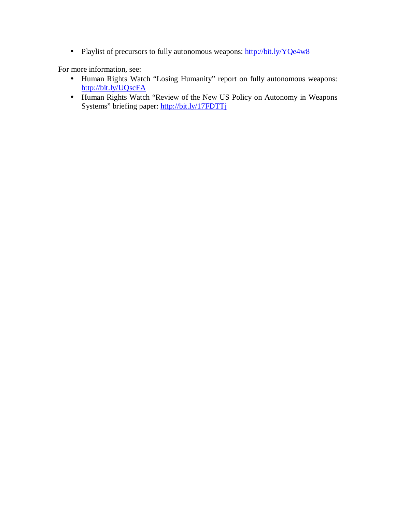• Playlist of precursors to fully autonomous weapons: http://bit.ly/YQe4w8

For more information, see:

- Human Rights Watch "Losing Humanity" report on fully autonomous weapons: http://bit.ly/UQscFA
- Human Rights Watch "Review of the New US Policy on Autonomy in Weapons Systems" briefing paper: http://bit.ly/17FDTTj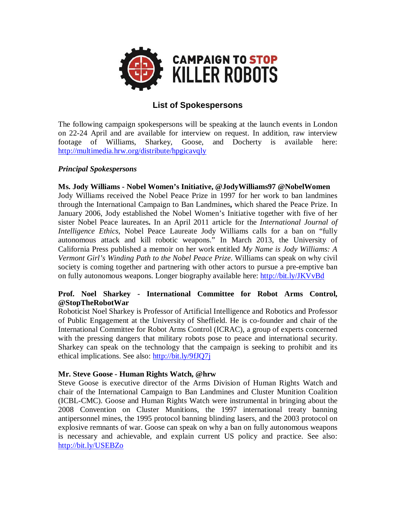

# **List of Spokespersons**

The following campaign spokespersons will be speaking at the launch events in London on 22-24 April and are available for interview on request. In addition, raw interview footage of Williams, Sharkey, Goose, and Docherty is available here: http://multimedia.hrw.org/distribute/hpgicavqly

## *Principal Spokespersons*

## **Ms. Jody Williams - Nobel Women's Initiative, @JodyWilliams97 @NobelWomen**

Jody Williams received the Nobel Peace Prize in 1997 for her work to ban landmines through the International Campaign to Ban Landmines**,** which shared the Peace Prize. In January 2006, Jody established the Nobel Women's Initiative together with five of her sister Nobel Peace laureates**.** In an April 2011 article for the *International Journal of Intelligence Ethics*, Nobel Peace Laureate Jody Williams calls for a ban on "fully autonomous attack and kill robotic weapons." In March 2013, the University of California Press published a memoir on her work entitled *My Name is Jody Williams: A Vermont Girl's Winding Path to the Nobel Peace Prize*. Williams can speak on why civil society is coming together and partnering with other actors to pursue a pre-emptive ban on fully autonomous weapons. Longer biography available here: http://bit.ly/JKVvBd

## **Prof. Noel Sharkey - International Committee for Robot Arms Control, @StopTheRobotWar**

Roboticist Noel Sharkey is Professor of Artificial Intelligence and Robotics and Professor of Public Engagement at the University of Sheffield. He is co-founder and chair of the International Committee for Robot Arms Control (ICRAC), a group of experts concerned with the pressing dangers that military robots pose to peace and international security. Sharkey can speak on the technology that the campaign is seeking to prohibit and its ethical implications. See also: http://bit.ly/9fJQ7j

## **Mr. Steve Goose - Human Rights Watch, @hrw**

Steve Goose is executive director of the Arms Division of Human Rights Watch and chair of the International Campaign to Ban Landmines and Cluster Munition Coalition (ICBL-CMC). Goose and Human Rights Watch were instrumental in bringing about the 2008 Convention on Cluster Munitions, the 1997 international treaty banning antipersonnel mines, the 1995 protocol banning blinding lasers, and the 2003 protocol on explosive remnants of war. Goose can speak on why a ban on fully autonomous weapons is necessary and achievable, and explain current US policy and practice. See also: http://bit.ly/USEBZo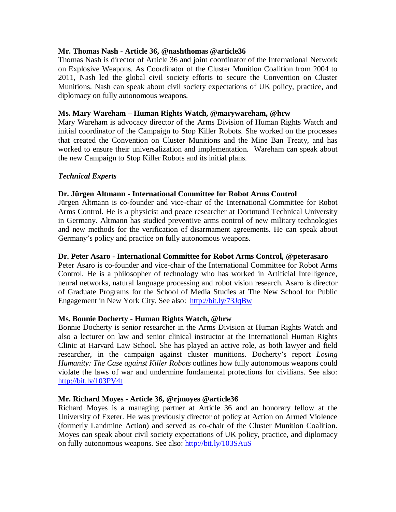## **Mr. Thomas Nash - Article 36, @nashthomas @article36**

Thomas Nash is director of Article 36 and joint coordinator of the International Network on Explosive Weapons. As Coordinator of the Cluster Munition Coalition from 2004 to 2011, Nash led the global civil society efforts to secure the Convention on Cluster Munitions. Nash can speak about civil society expectations of UK policy, practice, and diplomacy on fully autonomous weapons.

### **Ms. Mary Wareham – Human Rights Watch, @marywareham, @hrw**

Mary Wareham is advocacy director of the Arms Division of Human Rights Watch and initial coordinator of the Campaign to Stop Killer Robots. She worked on the processes that created the Convention on Cluster Munitions and the Mine Ban Treaty, and has worked to ensure their universalization and implementation. Wareham can speak about the new Campaign to Stop Killer Robots and its initial plans.

## *Technical Experts*

### **Dr. Jürgen Altmann - International Committee for Robot Arms Control**

Jürgen Altmann is co-founder and vice-chair of the International Committee for Robot Arms Control. He is a physicist and peace researcher at Dortmund Technical University in Germany. Altmann has studied preventive arms control of new military technologies and new methods for the verification of disarmament agreements. He can speak about Germany's policy and practice on fully autonomous weapons.

#### **Dr. Peter Asaro - International Committee for Robot Arms Control, @peterasaro**

Peter Asaro is co-founder and vice-chair of the International Committee for Robot Arms Control. He is a philosopher of technology who has worked in Artificial Intelligence, neural networks, natural language processing and robot vision research. Asaro is director of Graduate Programs for the School of Media Studies at The New School for Public Engagement in New York City. See also: http://bit.ly/73JqBw

#### **Ms. Bonnie Docherty - Human Rights Watch, @hrw**

Bonnie Docherty is senior researcher in the Arms Division at Human Rights Watch and also a lecturer on law and senior clinical instructor at the International Human Rights Clinic at Harvard Law School. She has played an active role, as both lawyer and field researcher, in the campaign against cluster munitions. Docherty's report *Losing Humanity: The Case against Killer Robots* outlines how fully autonomous weapons could violate the laws of war and undermine fundamental protections for civilians. See also: http://bit.ly/103PV4t

#### **Mr. Richard Moyes - Article 36, @rjmoyes @article36**

Richard Moyes is a managing partner at Article 36 and an honorary fellow at the University of Exeter. He was previously director of policy at Action on Armed Violence (formerly Landmine Action) and served as co-chair of the Cluster Munition Coalition. Moyes can speak about civil society expectations of UK policy, practice, and diplomacy on fully autonomous weapons. See also: http://bit.ly/103SAuS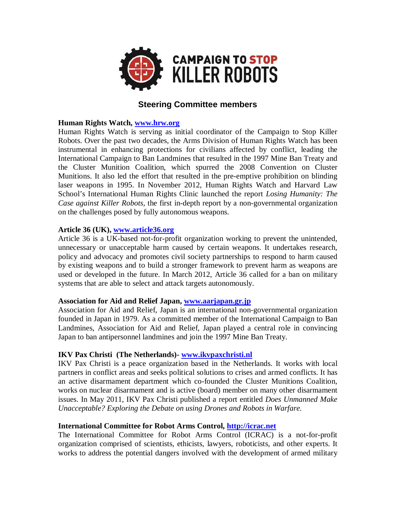

# **Steering Committee members**

## **Human Rights Watch, www.hrw.org**

Human Rights Watch is serving as initial coordinator of the Campaign to Stop Killer Robots. Over the past two decades, the Arms Division of Human Rights Watch has been instrumental in enhancing protections for civilians affected by conflict, leading the International Campaign to Ban Landmines that resulted in the 1997 Mine Ban Treaty and the Cluster Munition Coalition, which spurred the 2008 Convention on Cluster Munitions. It also led the effort that resulted in the pre-emptive prohibition on blinding laser weapons in 1995. In November 2012, Human Rights Watch and Harvard Law School's International Human Rights Clinic launched the report *Losing Humanity: The Case against Killer Robots,* the first in-depth report by a non-governmental organization on the challenges posed by fully autonomous weapons.

## **Article 36 (UK), www.article36.org**

Article 36 is a UK-based not-for-profit organization working to prevent the unintended, unnecessary or unacceptable harm caused by certain weapons. It undertakes research, policy and advocacy and promotes civil society partnerships to respond to harm caused by existing weapons and to build a stronger framework to prevent harm as weapons are used or developed in the future. In March 2012, Article 36 called for a ban on military systems that are able to select and attack targets autonomously.

## **Association for Aid and Relief Japan, www.aarjapan.gr.jp**

Association for Aid and Relief, Japan is an international non-governmental organization founded in Japan in 1979. As a committed member of the International Campaign to Ban Landmines, Association for Aid and Relief, Japan played a central role in convincing Japan to ban antipersonnel landmines and join the 1997 Mine Ban Treaty.

## **IKV Pax Christi (The Netherlands)- www.ikvpaxchristi.nl**

IKV Pax Christi is a peace organization based in the Netherlands. It works with local partners in conflict areas and seeks political solutions to crises and armed conflicts. It has an active disarmament department which co-founded the Cluster Munitions Coalition, works on nuclear disarmament and is active (board) member on many other disarmament issues. In May 2011, IKV Pax Christi published a report entitled *Does Unmanned Make Unacceptable? Exploring the Debate on using Drones and Robots in Warfare.* 

## **International Committee for Robot Arms Control, http://icrac.net**

The International Committee for Robot Arms Control (ICRAC) is a not-for-profit organization comprised of scientists, ethicists, lawyers, roboticists, and other experts. It works to address the potential dangers involved with the development of armed military